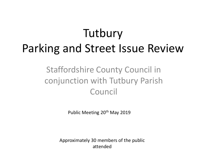# **Tutbury** Parking and Street Issue Review

#### Staffordshire County Council in conjunction with Tutbury Parish Council

Public Meeting 20th May 2019

Approximately 30 members of the public attended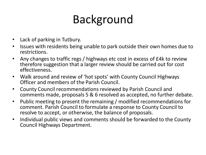# Background

- Lack of parking in Tutbury.
- Issues with residents being unable to park outside their own homes due to restrictions.
- Any changes to traffic regs / highways etc cost in excess of £4k to review therefore suggestion that a larger review should be carried out for cost effectiveness.
- Walk around and review of 'hot spots' with County Council Highways Officer and members of the Parish Council.
- County Council recommendations reviewed by Parish Council and comments made, proposals 5 & 6 resolved as accepted, no further debate.
- Public meeting to present the remaining / modified recommendations for comment. Parish Council to formulate a response to County Council to resolve to accept, or otherwise, the balance of proposals.
- Individual public views and comments should be forwarded to the County Council Highways Department.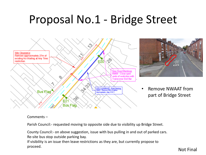## Proposal No.1 - Bridge Street





• Remove NWAAT from part of Bridge Street

#### Comments –

Parish Council:- requested moving to opposite side due to visibility up Bridge Street.

County Council:- on above suggestion, issue with bus pulling in and out of parked cars. Re-site bus stop outside parking bay.

If visibility is an issue then leave restrictions as they are, but currently propose to proceed.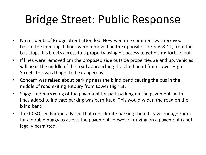# Bridge Street: Public Response

- No residents of Bridge Street attended. However one comment was received before the meeting. If lines were removed on the opposite side Nos 8-11, from the bus stop, this blocks access to a property using his access to get his motorbike out.
- If lines were removed om the proposed side outside properties 28 and up, vehicles will be in the middle of the road approaching the blind bend from Lower High Street. This was thoght to be dangerous.
- Concern was raised about parking near the blind bend causing the bus in the middle of road exiting Tutbury from Lower High St.
- Suggested narrowing of the pavement for part parking on the pavements with lines added to indicate parking was permitted. This would widen the road on the blind bend.
- The PCSO Lee Pardon advised that considerate parking should leave enough room for a double buggy to access the pavement. However, driving on a pavement is not legally permitted.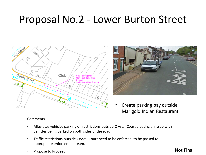#### Proposal No.2 - Lower Burton Street





Create parking bay outside Marigold Indian Restaurant

#### Comments –

- Alleviates vehicles parking on restrictions outside Crystal Court creating an issue with vehicles being parked on both sides of the road.
- Traffic restrictions outside Crystal Court need to be enforced, to be passed to appropriate enforcement team.
- Propose to Proceed.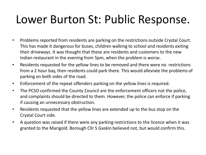## Lower Burton St: Public Response.

- Problems reported from residents are parking on the restrictions outside Crystal Court. This has made it dangerous for buses, children walking to school and residents exiting their driveways. It was thought that these are residents and customers to the new Indian restaurant in the evening from 5pm, when the problem is worse.
- Residents requested for the yellow lines to be removed and there were no restrictions from a 2 hour bay, then residents could park there. This would alleviate the problems of parking on both sides of the road.
- Enforcement of the repeat offenders parking on the yellow lines is required.
- The PCSO confirmed the County Council are the enforcement officers not the police, and complaints should be directed to them. However, the police can enforce if parking if causing an unnecessary obstruction.
- Residents requested that the yellow lines are extended up to the bus stop on the Crystal Court side.
- A question was raised if there were any parking restrictions to the licence when it was granted to the Marigold. Borough Cllr S Gaskin believed not, but would confirm this.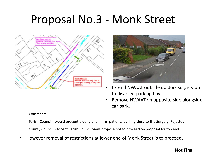### Proposal No.3 - Monk Street





- Extend NWAAT outside doctors surgery up to disabled parking bay.
- Remove NWAAT on opposite side alongside car park.

#### Comments –

Parish Council:- would prevent elderly and infirm patients parking close to the Surgery. Rejected

County Council:- Accept Parish Council view, propose not to proceed on proposal for top end.

• However removal of restrictions at lower end of Monk Street is to proceed.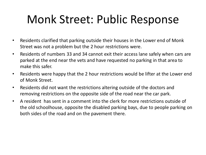# Monk Street: Public Response

- Residents clarified that parking outside their houses in the Lower end of Monk Street was not a problem but the 2 hour restrictions were.
- Residents of numbers 33 and 34 cannot exit their access lane safely when cars are parked at the end near the vets and have requested no parking in that area to make this safer.
- Residents were happy that the 2 hour restrictions would be lifter at the Lower end of Monk Street.
- Residents did not want the restrictions altering outside of the doctors and removing restrictions on the opposite side of the road near the car park.
- A resident has sent in a comment into the clerk for more restrictions outside of the old schoolhouse, opposite the disabled parking bays, due to people parking on both sides of the road and on the pavement there.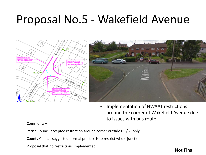### Proposal No.5 - Wakefield Avenue





• Implementation of NWAAT restrictions around the corner of Wakefield Avenue due to issues with bus route.

#### Comments –

Parish Council accepted restriction around corner outside 61 /63 only.

County Council suggested normal practice is to restrict whole junction.

Proposal that no restrictions implemented.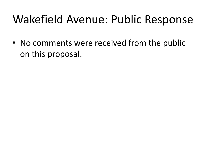## Wakefield Avenue: Public Response

• No comments were received from the public on this proposal.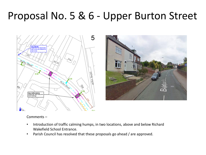### Proposal No. 5 & 6 - Upper Burton Street

5 **fuminated** road hump and distance to road humo  $7^{37}a$ **Byton Street DOVEVIEW Bunton Sheet** New Traffic Calming<br>Install new road hump road markings  $\mathcal{S}_{\alpha}$ E 44



#### Comments –

- Introduction of traffic calming humps, in two locations, above and below Richard Wakefield School Entrance.
- Parish Council has resolved that these proposals go ahead / are approved.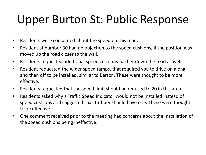## Upper Burton St: Public Response

- Residents were concerned about the speed on this road.
- Resident at number 30 had no objection to the speed cushions, if the position was moved up the road closer to the wall.
- Residents requested additional speed cushions further down the road as well.
- Resident requested the wider speed ramps, that required you to drive on along and then off to be installed, similar to Barton. These were thought to be more effective.
- Residents requested that the speed limit should be reduced to 20 in this area.
- Residents asked why a Traffic Speed indicator would not be installed instead of speed cushions and suggested that Tutbury should have one. These were thought to be effective.
- One comment received prior to the meeting had concerns about the installation of the speed cushions being ineffective.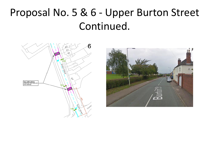### Proposal No. 5 & 6 - Upper Burton Street Continued.



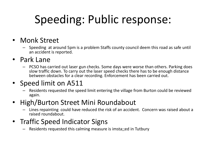# Speeding: Public response:

#### • Monk Street

– Speeding at around 5pm is a problem Staffs county council deem this road as safe until an accident is reported.

#### • Park Lane

– PCSO has carried out laser gun checks. Some days were worse than others. Parking does slow traffic down. To carry out the laser speed checks there has to be enough distance between obstacles for a clear recording. Enforcement has been carried out.

#### • Speed limit on A511

– Residents requested the speed limit entering the village from Burton could be reviewed again.

#### • High/Burton Street Mini Roundabout

– Lines repainting could have reduced the risk of an accident. Concern was raised about a raised roundabout.

#### • Traffic Speed Indicator Signs

– Residents requested this calming measure is imsta;;ed in Tutbury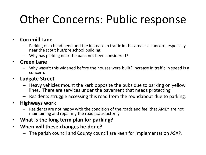# Other Concerns: Public response

#### • **Cornmill Lane**

- Parking on a blind bend and the increase in traffic in this area is a concern, especially near the scout hut/pre school building.
- Why has parking near the bank not been considered?

#### • **Green Lane**

– Why wasn't this widened before the houses were built? Increase in traffic in speed is a concern.

#### • **Ludgate Street**

- Heavy vehicles mount the kerb opposite the pubs due to parking on yellow lines. There are services under the pavement that needs protecting.
- Residents struggle accessing this road from the roundabout due to parking.

#### • **Highways work**

- Residents are not happy with the condition of the roads and feel that AMEY are not maintaining and repairing the roads satisfactorily
- **What is the long term plan for parking?**
- **When will these changes be done?**
	- The parish council and County council are keen for implementation ASAP.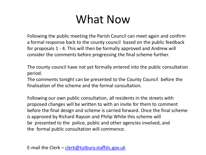## What Now

Following the public meeting the Parish Council can meet again and confirm a formal response back to the county council based on the public feedback for proposals 1 - 4. This will then be formally approved and Andrew will consider the comments before progressing the final scheme further.

The county council have not yet formally entered into the public consultation period.

The comments tonight can be presented to the County Council before the finalisation of the scheme and the formal consultation.

Following our own public consultation, all residents in the streets with proposed changes will be written to with an invite for them to comment before the final design and scheme is carried forward. Once the final scheme is approved by Richard Rayson and Philip White this scheme will be presented to the police, public and other agencies involved, and the formal public consultation will commence.

E-mail the Clerk – [clerk@tutbury.staffslc.gov.uk](mailto:clerk@tutbury.staffslc.gov.uk)